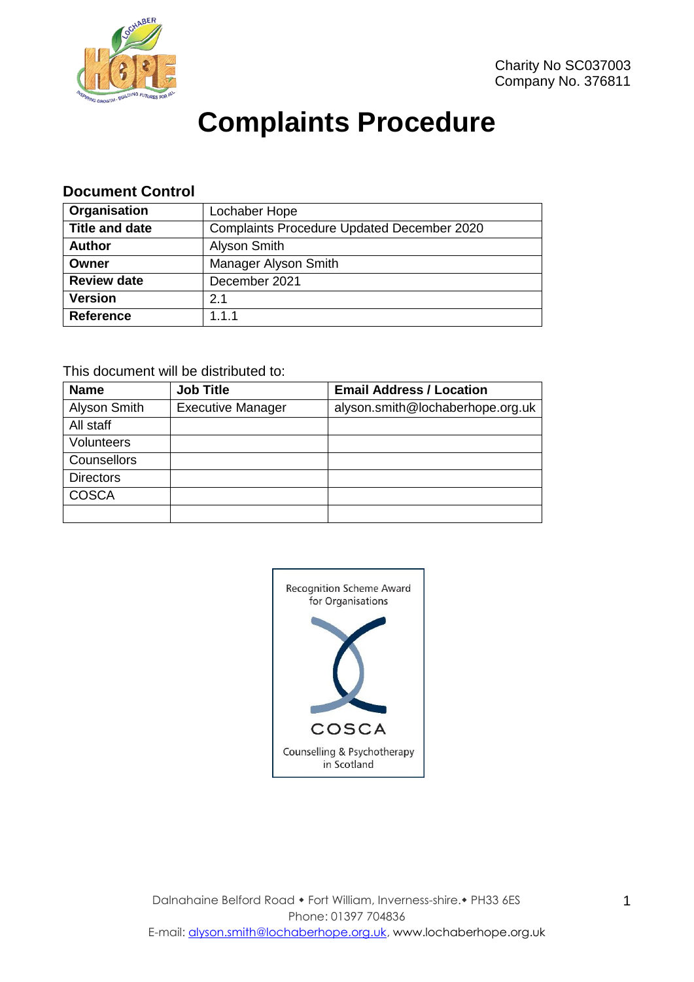

# **Complaints Procedure**

#### **Document Control**

| Organisation          | Lochaber Hope                                     |  |
|-----------------------|---------------------------------------------------|--|
| <b>Title and date</b> | <b>Complaints Procedure Updated December 2020</b> |  |
| <b>Author</b>         | Alyson Smith                                      |  |
| Owner                 | Manager Alyson Smith                              |  |
| <b>Review date</b>    | December 2021                                     |  |
| <b>Version</b>        | 2.1                                               |  |
| Reference             | 1.1.1                                             |  |

#### This document will be distributed to:

| <b>Name</b>      | <b>Job Title</b>         | <b>Email Address / Location</b>  |
|------------------|--------------------------|----------------------------------|
| Alyson Smith     | <b>Executive Manager</b> | alyson.smith@lochaberhope.org.uk |
| All staff        |                          |                                  |
| Volunteers       |                          |                                  |
| Counsellors      |                          |                                  |
| <b>Directors</b> |                          |                                  |
| <b>COSCA</b>     |                          |                                  |
|                  |                          |                                  |

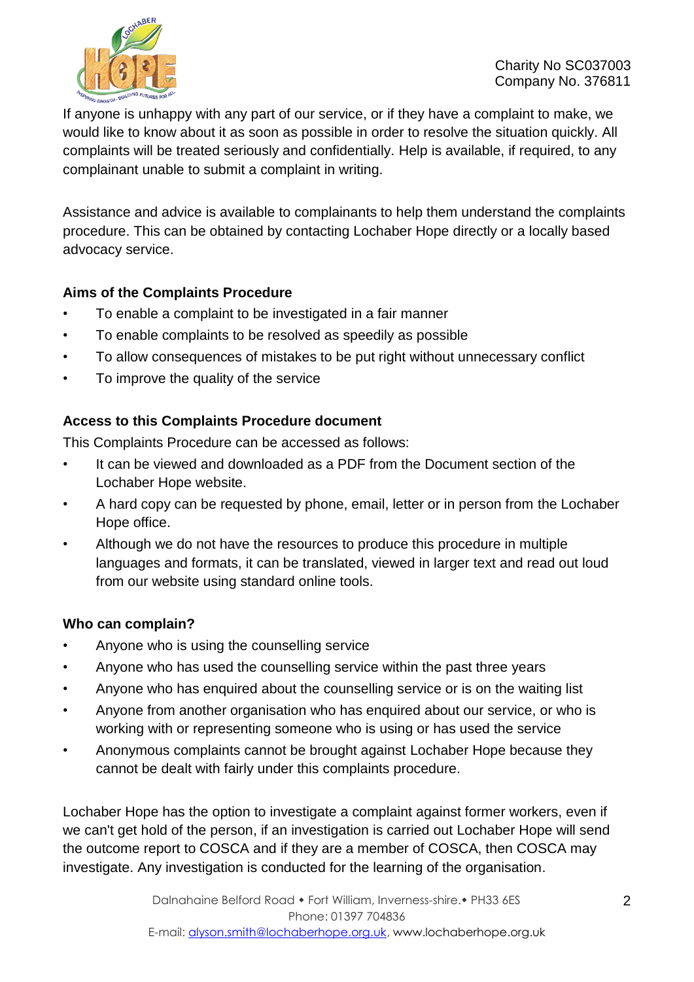

If anyone is unhappy with any part of our service, or if they have a complaint to make, we would like to know about it as soon as possible in order to resolve the situation quickly. All complaints will be treated seriously and confidentially. Help is available, if required, to any complainant unable to submit a complaint in writing.

Assistance and advice is available to complainants to help them understand the complaints procedure. This can be obtained by contacting Lochaber Hope directly or a locally based advocacy service.

# **Aims of the Complaints Procedure**

- To enable a complaint to be investigated in a fair manner
- To enable complaints to be resolved as speedily as possible
- To allow consequences of mistakes to be put right without unnecessary conflict
- To improve the quality of the service

# **Access to this Complaints Procedure document**

This Complaints Procedure can be accessed as follows:

- It can be viewed and downloaded as a PDF from the Document section of the Lochaber Hope website.
- A hard copy can be requested by phone, email, letter or in person from the Lochaber Hope office.
- Although we do not have the resources to produce this procedure in multiple languages and formats, it can be translated, viewed in larger text and read out loud from our website using standard online tools.

# **Who can complain?**

- Anyone who is using the counselling service
- Anyone who has used the counselling service within the past three years
- Anyone who has enquired about the counselling service or is on the waiting list
- Anyone from another organisation who has enquired about our service, or who is working with or representing someone who is using or has used the service
- Anonymous complaints cannot be brought against Lochaber Hope because they cannot be dealt with fairly under this complaints procedure.

Lochaber Hope has the option to investigate a complaint against former workers, even if we can't get hold of the person, if an investigation is carried out Lochaber Hope will send the outcome report to COSCA and if they are a member of COSCA, then COSCA may investigate. Any investigation is conducted for the learning of the organisation.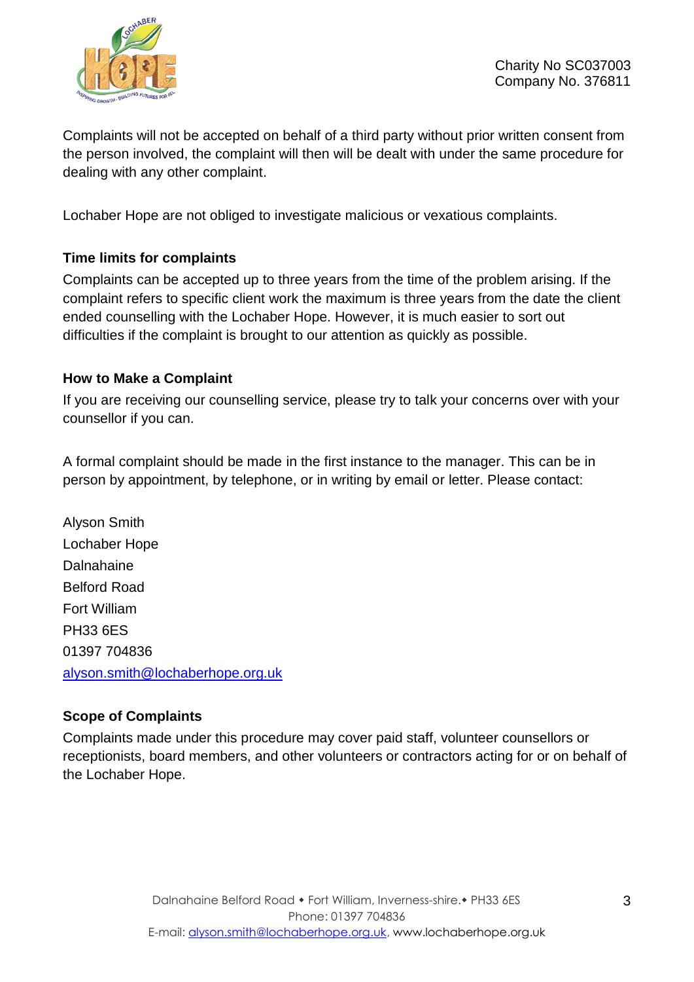

Complaints will not be accepted on behalf of a third party without prior written consent from the person involved, the complaint will then will be dealt with under the same procedure for dealing with any other complaint.

Lochaber Hope are not obliged to investigate malicious or vexatious complaints.

# **Time limits for complaints**

Complaints can be accepted up to three years from the time of the problem arising. If the complaint refers to specific client work the maximum is three years from the date the client ended counselling with the Lochaber Hope. However, it is much easier to sort out difficulties if the complaint is brought to our attention as quickly as possible.

# **How to Make a Complaint**

If you are receiving our counselling service, please try to talk your concerns over with your counsellor if you can.

A formal complaint should be made in the first instance to the manager. This can be in person by appointment, by telephone, or in writing by email or letter. Please contact:

Alyson Smith Lochaber Hope Dalnahaine Belford Road Fort William PH33 6ES 01397 704836 [alyson.smith@lochaberhope.org.uk](mailto:alyson.smith@lochaberhope.org.uk)

# **Scope of Complaints**

Complaints made under this procedure may cover paid staff, volunteer counsellors or receptionists, board members, and other volunteers or contractors acting for or on behalf of the Lochaber Hope.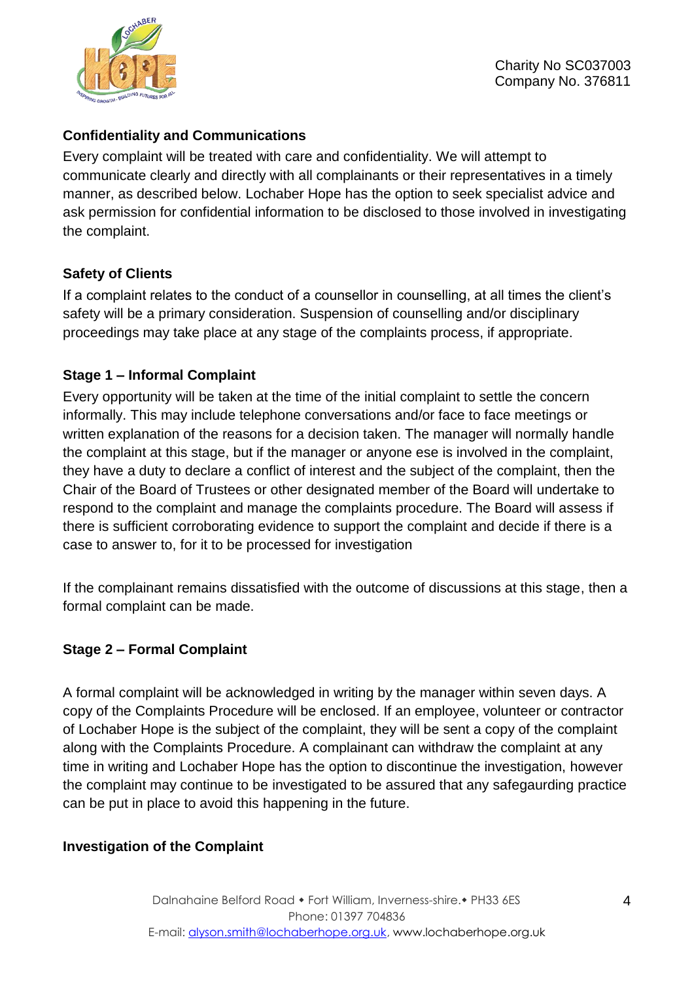

# **Confidentiality and Communications**

Every complaint will be treated with care and confidentiality. We will attempt to communicate clearly and directly with all complainants or their representatives in a timely manner, as described below. Lochaber Hope has the option to seek specialist advice and ask permission for confidential information to be disclosed to those involved in investigating the complaint.

# **Safety of Clients**

If a complaint relates to the conduct of a counsellor in counselling, at all times the client's safety will be a primary consideration. Suspension of counselling and/or disciplinary proceedings may take place at any stage of the complaints process, if appropriate.

# **Stage 1 – Informal Complaint**

Every opportunity will be taken at the time of the initial complaint to settle the concern informally. This may include telephone conversations and/or face to face meetings or written explanation of the reasons for a decision taken. The manager will normally handle the complaint at this stage, but if the manager or anyone ese is involved in the complaint, they have a duty to declare a conflict of interest and the subject of the complaint, then the Chair of the Board of Trustees or other designated member of the Board will undertake to respond to the complaint and manage the complaints procedure. The Board will assess if there is sufficient corroborating evidence to support the complaint and decide if there is a case to answer to, for it to be processed for investigation

If the complainant remains dissatisfied with the outcome of discussions at this stage, then a formal complaint can be made.

# **Stage 2 – Formal Complaint**

A formal complaint will be acknowledged in writing by the manager within seven days. A copy of the Complaints Procedure will be enclosed. If an employee, volunteer or contractor of Lochaber Hope is the subject of the complaint, they will be sent a copy of the complaint along with the Complaints Procedure. A complainant can withdraw the complaint at any time in writing and Lochaber Hope has the option to discontinue the investigation, however the complaint may continue to be investigated to be assured that any safegaurding practice can be put in place to avoid this happening in the future.

# **Investigation of the Complaint**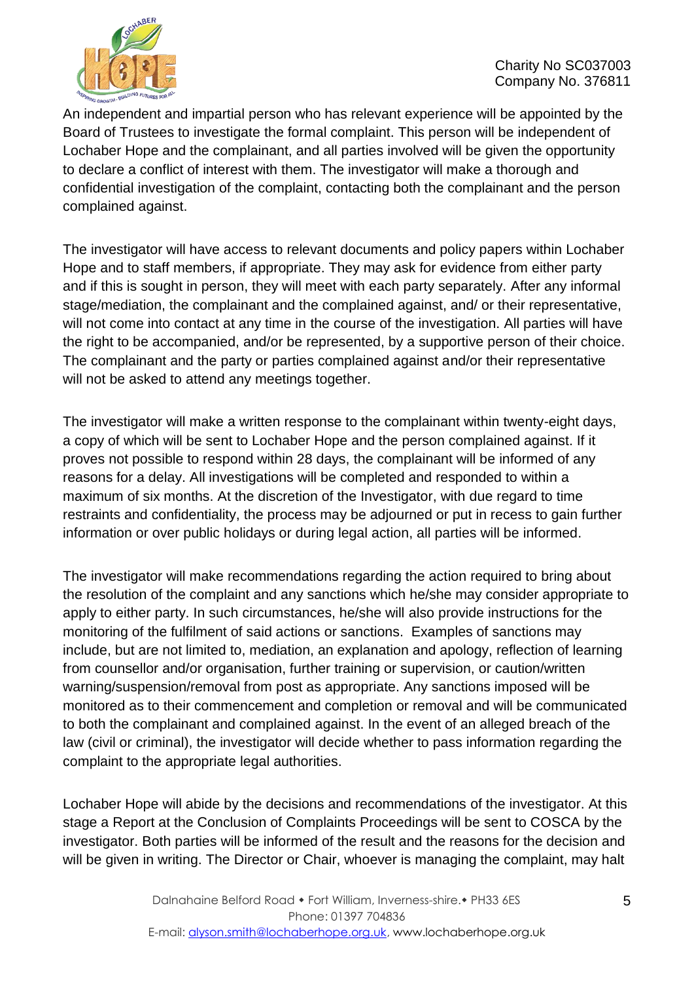

An independent and impartial person who has relevant experience will be appointed by the Board of Trustees to investigate the formal complaint. This person will be independent of Lochaber Hope and the complainant, and all parties involved will be given the opportunity to declare a conflict of interest with them. The investigator will make a thorough and confidential investigation of the complaint, contacting both the complainant and the person complained against.

The investigator will have access to relevant documents and policy papers within Lochaber Hope and to staff members, if appropriate. They may ask for evidence from either party and if this is sought in person, they will meet with each party separately. After any informal stage/mediation, the complainant and the complained against, and/ or their representative, will not come into contact at any time in the course of the investigation. All parties will have the right to be accompanied, and/or be represented, by a supportive person of their choice. The complainant and the party or parties complained against and/or their representative will not be asked to attend any meetings together.

The investigator will make a written response to the complainant within twenty-eight days, a copy of which will be sent to Lochaber Hope and the person complained against. If it proves not possible to respond within 28 days, the complainant will be informed of any reasons for a delay. All investigations will be completed and responded to within a maximum of six months. At the discretion of the Investigator, with due regard to time restraints and confidentiality, the process may be adjourned or put in recess to gain further information or over public holidays or during legal action, all parties will be informed.

The investigator will make recommendations regarding the action required to bring about the resolution of the complaint and any sanctions which he/she may consider appropriate to apply to either party. In such circumstances, he/she will also provide instructions for the monitoring of the fulfilment of said actions or sanctions. Examples of sanctions may include, but are not limited to, mediation, an explanation and apology, reflection of learning from counsellor and/or organisation, further training or supervision, or caution/written warning/suspension/removal from post as appropriate. Any sanctions imposed will be monitored as to their commencement and completion or removal and will be communicated to both the complainant and complained against. In the event of an alleged breach of the law (civil or criminal), the investigator will decide whether to pass information regarding the complaint to the appropriate legal authorities.

Lochaber Hope will abide by the decisions and recommendations of the investigator. At this stage a Report at the Conclusion of Complaints Proceedings will be sent to COSCA by the investigator. Both parties will be informed of the result and the reasons for the decision and will be given in writing. The Director or Chair, whoever is managing the complaint, may halt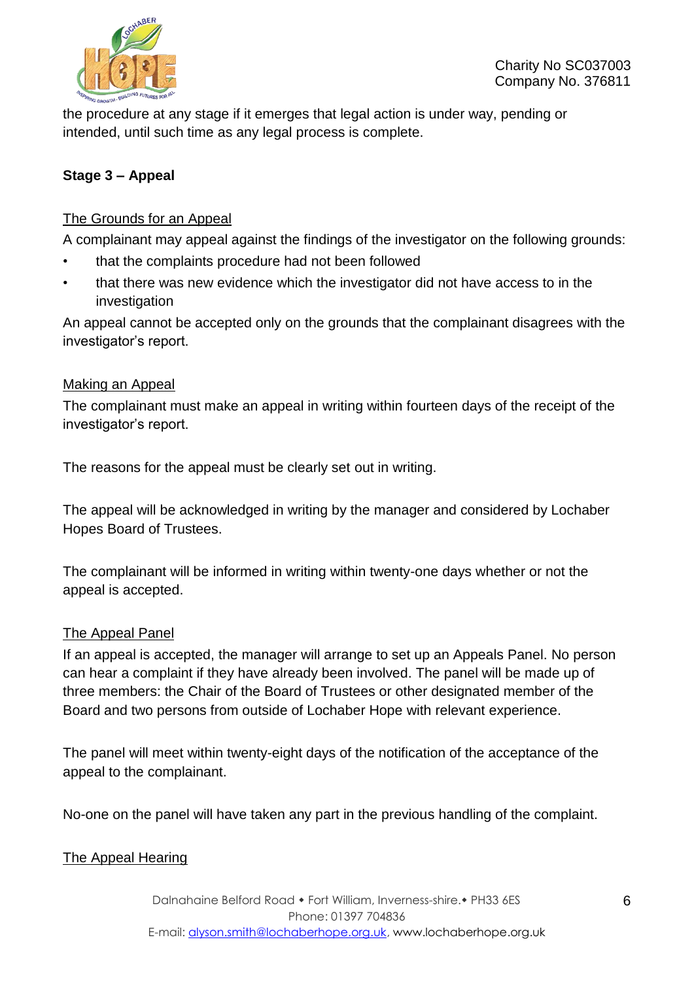

the procedure at any stage if it emerges that legal action is under way, pending or intended, until such time as any legal process is complete.

# **Stage 3 – Appeal**

### The Grounds for an Appeal

A complainant may appeal against the findings of the investigator on the following grounds:

- that the complaints procedure had not been followed
- that there was new evidence which the investigator did not have access to in the investigation

An appeal cannot be accepted only on the grounds that the complainant disagrees with the investigator's report.

#### Making an Appeal

The complainant must make an appeal in writing within fourteen days of the receipt of the investigator's report.

The reasons for the appeal must be clearly set out in writing.

The appeal will be acknowledged in writing by the manager and considered by Lochaber Hopes Board of Trustees.

The complainant will be informed in writing within twenty-one days whether or not the appeal is accepted.

#### The Appeal Panel

If an appeal is accepted, the manager will arrange to set up an Appeals Panel. No person can hear a complaint if they have already been involved. The panel will be made up of three members: the Chair of the Board of Trustees or other designated member of the Board and two persons from outside of Lochaber Hope with relevant experience.

The panel will meet within twenty-eight days of the notification of the acceptance of the appeal to the complainant.

No-one on the panel will have taken any part in the previous handling of the complaint.

#### The Appeal Hearing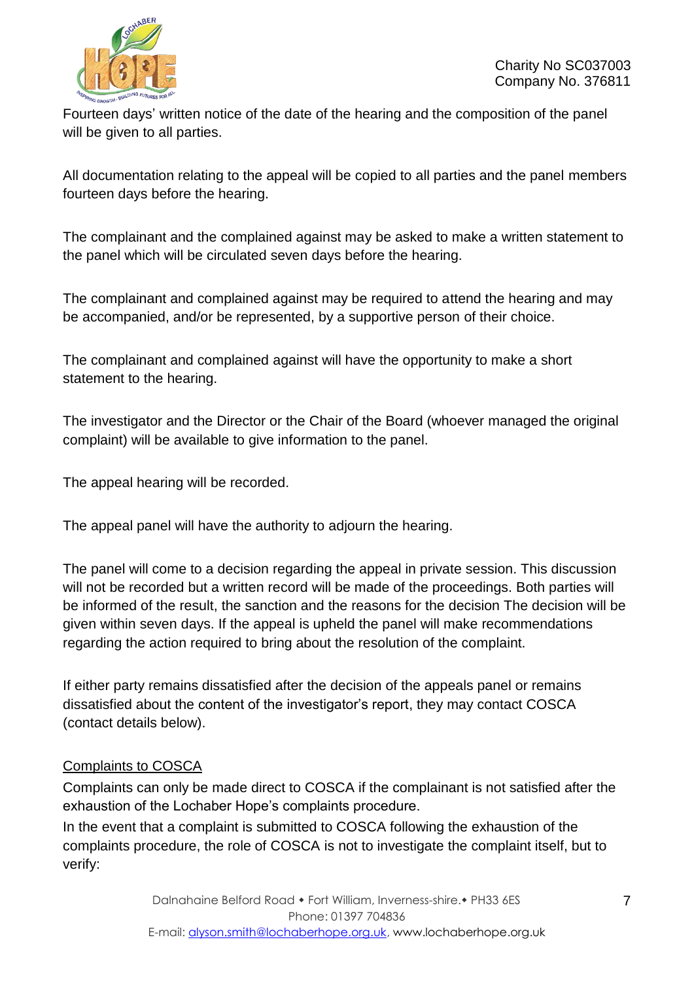

Fourteen days' written notice of the date of the hearing and the composition of the panel will be given to all parties.

All documentation relating to the appeal will be copied to all parties and the panel members fourteen days before the hearing.

The complainant and the complained against may be asked to make a written statement to the panel which will be circulated seven days before the hearing.

The complainant and complained against may be required to attend the hearing and may be accompanied, and/or be represented, by a supportive person of their choice.

The complainant and complained against will have the opportunity to make a short statement to the hearing.

The investigator and the Director or the Chair of the Board (whoever managed the original complaint) will be available to give information to the panel.

The appeal hearing will be recorded.

The appeal panel will have the authority to adjourn the hearing.

The panel will come to a decision regarding the appeal in private session. This discussion will not be recorded but a written record will be made of the proceedings. Both parties will be informed of the result, the sanction and the reasons for the decision The decision will be given within seven days. If the appeal is upheld the panel will make recommendations regarding the action required to bring about the resolution of the complaint.

If either party remains dissatisfied after the decision of the appeals panel or remains dissatisfied about the content of the investigator's report, they may contact COSCA (contact details below).

# Complaints to COSCA

Complaints can only be made direct to COSCA if the complainant is not satisfied after the exhaustion of the Lochaber Hope's complaints procedure.

In the event that a complaint is submitted to COSCA following the exhaustion of the complaints procedure, the role of COSCA is not to investigate the complaint itself, but to verify: